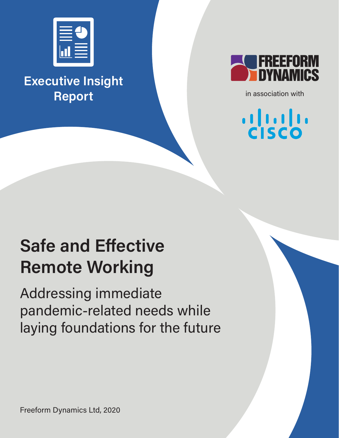

**Executive Insight Report in association with** 



ululu<br>Cisco

# **Safe and Effective Remote Working**

Addressing immediate pandemic-related needs while laying foundations for the future

Freeform Dynamics Ltd, 2020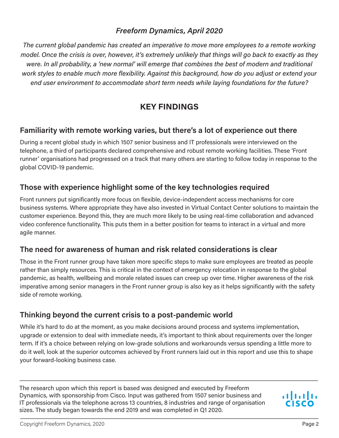#### *Freeform Dynamics, April 2020*

*The current global pandemic has created an imperative to move more employees to a remote working model. Once the crisis is over, however, it's extremely unlikely that things will go back to exactly as they were. In all probability, a 'new normal' will emerge that combines the best of modern and traditional work styles to enable much more flexibility. Against this background, how do you adjust or extend your end user environment to accommodate short term needs while laying foundations for the future?*

### **KEY FINDINGS**

#### **Familiarity with remote working varies, but there's a lot of experience out there**

During a recent global study in which 1507 senior business and IT professionals were interviewed on the telephone, a third of participants declared comprehensive and robust remote working facilities. These 'Front runner' organisations had progressed on a track that many others are starting to follow today in response to the global COVID-19 pandemic.

#### **Those with experience highlight some of the key technologies required**

Front runners put significantly more focus on flexible, device-independent access mechanisms for core business systems. Where appropriate they have also invested in Virtual Contact Center solutions to maintain the customer experience. Beyond this, they are much more likely to be using real-time collaboration and advanced video conference functionality. This puts them in a better position for teams to interact in a virtual and more agile manner.

#### **The need for awareness of human and risk related considerations is clear**

Those in the Front runner group have taken more specific steps to make sure employees are treated as people rather than simply resources. This is critical in the context of emergency relocation in response to the global pandemic, as health, wellbeing and morale related issues can creep up over time. Higher awareness of the risk imperative among senior managers in the Front runner group is also key as it helps significantly with the safety side of remote working.

#### **Thinking beyond the current crisis to a post-pandemic world**

While it's hard to do at the moment, as you make decisions around process and systems implementation, upgrade or extension to deal with immediate needs, it's important to think about requirements over the longer term. If it's a choice between relying on low-grade solutions and workarounds versus spending a little more to do it well, look at the superior outcomes achieved by Front runners laid out in this report and use this to shape your forward-looking business case.

The research upon which this report is based was designed and executed by Freeform Dynamics, with sponsorship from Cisco. Input was gathered from 1507 senior business and IT professionals via the telephone across 13 countries, 8 industries and range of organisation sizes. The study began towards the end 2019 and was completed in Q1 2020.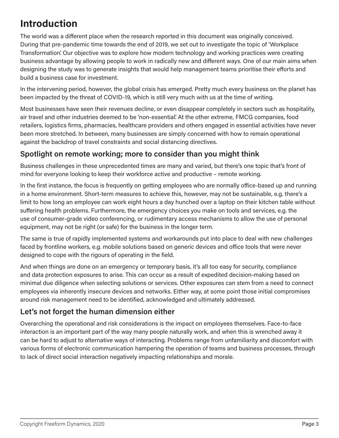### **Introduction**

The world was a different place when the research reported in this document was originally conceived. During that pre-pandemic time towards the end of 2019, we set out to investigate the topic of 'Workplace Transformation'. Our objective was to explore how modern technology and working practices were creating business advantage by allowing people to work in radically new and different ways. One of our main aims when designing the study was to generate insights that would help management teams prioritise their efforts and build a business case for investment.

In the intervening period, however, the global crisis has emerged. Pretty much every business on the planet has been impacted by the threat of COVID-19, which is still very much with us at the time of writing.

Most businesses have seen their revenues decline, or even disappear completely in sectors such as hospitality, air travel and other industries deemed to be 'non-essential'. At the other extreme, FMCG companies, food retailers, logistics firms, pharmacies, healthcare providers and others engaged in essential activities have never been more stretched. In between, many businesses are simply concerned with how to remain operational against the backdrop of travel constraints and social distancing directives.

#### **Spotlight on remote working; more to consider than you might think**

Business challenges in these unprecedented times are many and varied, but there's one topic that's front of mind for everyone looking to keep their workforce active and productive – remote working.

In the first instance, the focus is frequently on getting employees who are normally office-based up and running in a home environment. Short-term measures to achieve this, however, may not be sustainable, e.g. there's a limit to how long an employee can work eight hours a day hunched over a laptop on their kitchen table without suffering health problems. Furthermore, the emergency choices you make on tools and services, e.g. the use of consumer-grade video conferencing, or rudimentary access mechanisms to allow the use of personal equipment, may not be right (or safe) for the business in the longer term.

The same is true of rapidly implemented systems and workarounds put into place to deal with new challenges faced by frontline workers, e.g. mobile solutions based on generic devices and office tools that were never designed to cope with the rigours of operating in the field.

And when things are done on an emergency or temporary basis, it's all too easy for security, compliance and data protection exposures to arise. This can occur as a result of expedited decision-making based on minimal due diligence when selecting solutions or services. Other exposures can stem from a need to connect employees via inherently insecure devices and networks. Either way, at some point those initial compromises around risk management need to be identified, acknowledged and ultimately addressed.

### **Let's not forget the human dimension either**

Overarching the operational and risk considerations is the impact on employees themselves. Face-to-face interaction is an important part of the way many people naturally work, and when this is wrenched away it can be hard to adjust to alternative ways of interacting. Problems range from unfamiliarity and discomfort with various forms of electronic communication hampering the operation of teams and business processes, through to lack of direct social interaction negatively impacting relationships and morale.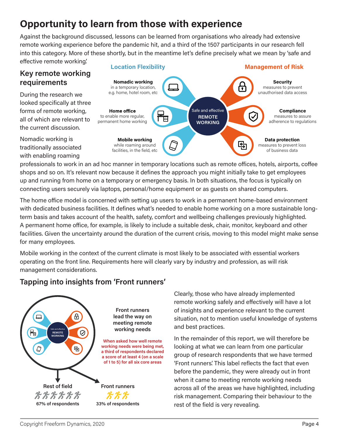## **Opportunity to learn from those with experience**

Against the background discussed, lessons can be learned from organisations who already had extensive remote working experience before the pandemic hit, and a third of the 1507 participants in our research fell into this category. More of these shortly, but in the meantime let's define precisely what we mean by 'safe and effective remote working'.

### **Key remote working requirements**

During the research we looked specifically at three forms of remote working, all of which are relevant to the current discussion.

Nomadic working is traditionally associated with enabling roaming



professionals to work in an ad hoc manner in temporary locations such as remote offices, hotels, airports, coffee shops and so on. It's relevant now because it defines the approach you might initially take to get employees up and running from home on a temporary or emergency basis. In both situations, the focus is typically on connecting users securely via laptops, personal/home equipment or as guests on shared computers.

The home office model is concerned with setting up users to work in a permanent home-based environment with dedicated business facilities. It defines what's needed to enable home working on a more sustainable longterm basis and takes account of the health, safety, comfort and wellbeing challenges previously highlighted. A permanent home office, for example, is likely to include a suitable desk, chair, monitor, keyboard and other facilities. Given the uncertainty around the duration of the current crisis, moving to this model might make sense for many employees.

Mobile working in the context of the current climate is most likely to be associated with essential workers operating on the front line. Requirements here will clearly vary by industry and profession, as will risk management considerations.

### **Tapping into insights from 'Front runners'**



Clearly, those who have already implemented remote working safely and effectively will have a lot of insights and experience relevant to the current situation, not to mention useful knowledge of systems and best practices.

In the remainder of this report, we will therefore be looking at what we can learn from one particular group of research respondents that we have termed 'Front runners'. This label reflects the fact that even before the pandemic, they were already out in front when it came to meeting remote working needs across all of the areas we have highlighted, including risk management. Comparing their behaviour to the rest of the field is very revealing.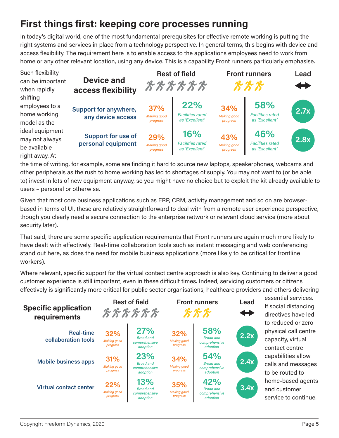### **First things first: keeping core processes running**

In today's digital world, one of the most fundamental prerequisites for effective remote working is putting the right systems and services in place from a technology perspective. In general terms, this begins with device and access flexibility. The requirement here is to enable access to the applications employees need to work from home or any other relevant location, using any device. This is a capability Front runners particularly emphasise.



the time of writing, for example, some are finding it hard to source new laptops, speakerphones, webcams and other peripherals as the rush to home working has led to shortages of supply. You may not want to (or be able to) invest in lots of new equipment anyway, so you might have no choice but to exploit the kit already available to users – personal or otherwise.

Given that most core business applications such as ERP, CRM, activity management and so on are browserbased in terms of UI, these are relatively straightforward to deal with from a remote user experience perspective, though you clearly need a secure connection to the enterprise network or relevant cloud service (more about security later).

That said, there are some specific application requirements that Front runners are again much more likely to have dealt with effectively. Real-time collaboration tools such as instant messaging and web conferencing stand out here, as does the need for mobile business applications (more likely to be critical for frontline workers).

Where relevant, specific support for the virtual contact centre approach is also key. Continuing to deliver a good customer experience is still important, even in these difficult times. Indeed, servicing customers or citizens effectively is significantly more critical for public sector organisations, healthcare providers and others delivering

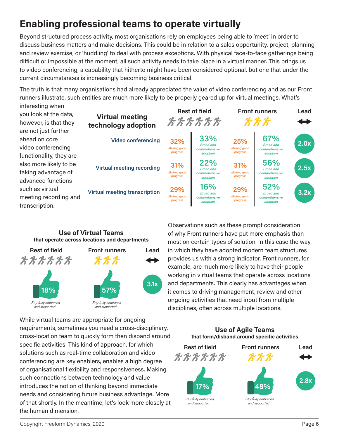### **Enabling professional teams to operate virtually**

Beyond structured process activity, most organisations rely on employees being able to 'meet' in order to discuss business matters and make decisions. This could be in relation to a sales opportunity, project, planning and review exercise, or 'huddling' to deal with process exceptions. With physical face-to-face gatherings being difficult or impossible at the moment, all such activity needs to take place in a virtual manner. This brings us to video conferencing, a capability that hitherto might have been considered optional, but one that under the current circumstances is increasingly becoming business critical.

The truth is that many organisations had already appreciated the value of video conferencing and as our Front runners illustrate, such entities are much more likely to be properly geared up for virtual meetings. What's interesting when

you look at the data, however, is that they are not just further ahead on core video conferencing functionality, they are also more likely to be taking advantage of advanced functions such as virtual meeting recording and transcription.



#### **Use of Virtual Teams that operate across locations and departments**



Observations such as these prompt consideration of why Front runners have put more emphasis than most on certain types of solution. In this case the way in which they have adopted modern team structures provides us with a strong indicator. Front runners, for example, are much more likely to have their people working in virtual teams that operate across locations and departments. This clearly has advantages when it comes to driving management, review and other ongoing activities that need input from multiple disciplines, often across multiple locations.

While virtual teams are appropriate for ongoing requirements, sometimes you need a cross-disciplinary, cross-location team to quickly form then disband around specific activities. This kind of approach, for which solutions such as real-time collaboration and video conferencing are key enablers, enables a high degree of organisational flexibility and responsiveness. Making such connections between technology and value introduces the notion of thinking beyond immediate needs and considering future business advantage. More of that shortly. In the meantime, let's look more closely at the human dimension.

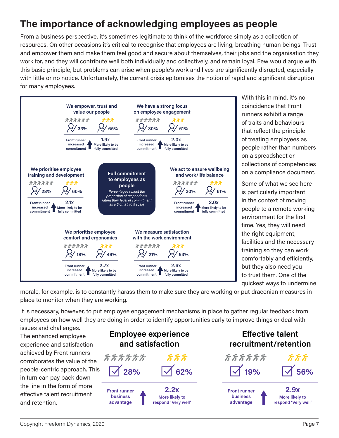### **The importance of acknowledging employees as people**

From a business perspective, it's sometimes legitimate to think of the workforce simply as a collection of resources. On other occasions it's critical to recognise that employees are living, breathing human beings. Trust and empower them and make them feel good and secure about themselves, their jobs and the organisation they work for, and they will contribute well both individually and collectively, and remain loyal. Few would argue with this basic principle, but problems can arise when people's work and lives are significantly disrupted, especially with little or no notice. Unfortunately, the current crisis epitomises the notion of rapid and significant disruption for many employees.



With this in mind, it's no coincidence that Front runners exhibit a range of traits and behaviours that reflect the principle of treating employees as people rather than numbers on a spreadsheet or collections of competencies on a compliance document.

Some of what we see here is particularly important in the context of moving people to a remote working environment for the first time. Yes, they will need the right equipment, facilities and the necessary training so they can work comfortably and efficiently, but they also need you to trust them. One of the quickest ways to undermine

morale, for example, is to constantly harass them to make sure they are working or put draconian measures in place to monitor when they are working.

It is necessary, however, to put employee engagement mechanisms in place to gather regular feedback from employees on how well they are doing in order to identify opportunities early to improve things or deal with

issues and challenges. The enhanced employee experience and satisfaction achieved by Front runners corroborates the value of the people-centric approach. This in turn can pay back down the line in the form of more effective talent recruitment and retention.



### **Effective talent recruitment/retention**

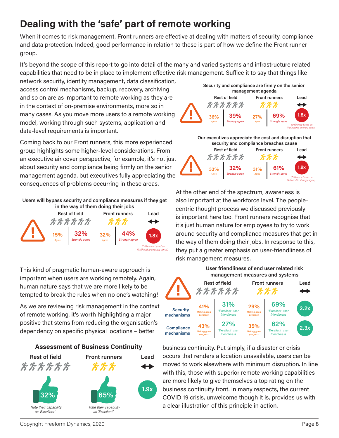# **Dealing with the 'safe' part of remote working**

When it comes to risk management, Front runners are effective at dealing with matters of security, compliance and data protection. Indeed, good performance in relation to these is part of how we define the Front runner group.

It's beyond the scope of this report to go into detail of the many and varied systems and infrastructure related capabilities that need to be in place to implement effective risk management. Suffice it to say that things like

network security, identity management, data classification, access control mechanisms, backup, recovery, archiving and so on are as important to remote working as they are in the context of on-premise environments, more so in many cases. As you move more users to a remote working model, working through such systems, application and data-level requirements is important.

Coming back to our Front runners, this more experienced group highlights some higher-level considerations. From an executive air cover perspective, for example, it's not just about security and compliance being firmly on the senior management agenda, but executives fully appreciating the consequences of problems occurring in these areas.



**32%** *Strongly agree* **15%** *Agree* **44%** *Strongly agree* **32%** *Agree* **1.8x** ence based on hood to strongly agree

This kind of pragmatic human-aware approach is important when users are working remotely. Again, human nature says that we are more likely to be tempted to break the rules when no one's watching!

As we are reviewing risk management in the context of remote working, it's worth highlighting a major positive that stems from reducing the organisation's dependency on specific physical locations – better









At the other end of the spectrum, awareness is also important at the workforce level. The peoplecentric thought process we discussed previously is important here too. Front runners recognise that it's just human nature for employees to try to work around security and compliance measures that get in the way of them doing their jobs. In response to this, they put a greater emphasis on user-friendliness of risk management measures.



business continuity. Put simply, if a disaster or crisis occurs that renders a location unavailable, users can be moved to work elsewhere with minimum disruption. In line with this, those with superior remote working capabilities are more likely to give themselves a top rating on the business continuity front. In many respects, the current COVID 19 crisis, unwelcome though it is, provides us with a clear illustration of this principle in action.

Copyright Freeform Dynamics, 2020 **Page 8** Page 8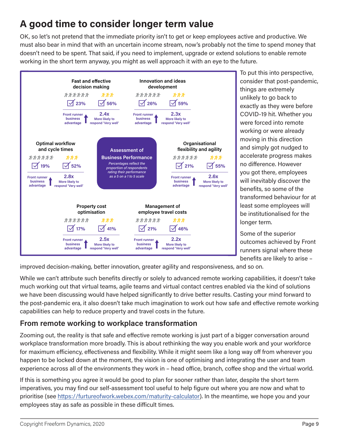# **A good time to consider longer term value**

OK, so let's not pretend that the immediate priority isn't to get or keep employees active and productive. We must also bear in mind that with an uncertain income stream, now's probably not the time to spend money that doesn't need to be spent. That said, if you need to implement, upgrade or extend solutions to enable remote working in the short term anyway, you might as well approach it with an eye to the future.



To put this into perspective, consider that post-pandemic, things are extremely unlikely to go back to exactly as they were before COVID-19 hit. Whether you were forced into remote working or were already moving in this direction and simply got nudged to accelerate progress makes no difference. However you got there, employees will inevitably discover the benefits, so some of the transformed behaviour for at least some employees will be institutionalised for the longer term.

Some of the superior outcomes achieved by Front runners signal where these benefits are likely to arise –

improved decision-making, better innovation, greater agility and responsiveness, and so on.

While we can't attribute such benefits directly or solely to advanced remote working capabilities, it doesn't take much working out that virtual teams, agile teams and virtual contact centres enabled via the kind of solutions we have been discussing would have helped significantly to drive better results. Casting your mind forward to the post-pandemic era, it also doesn't take much imagination to work out how safe and effective remote working capabilities can help to reduce property and travel costs in the future.

### **From remote working to workplace transformation**

Zooming out, the reality is that safe and effective remote working is just part of a bigger conversation around workplace transformation more broadly. This is about rethinking the way you enable work and your workforce for maximum efficiency, effectiveness and flexibility. While it might seem like a long way off from wherever you happen to be locked down at the moment, the vision is one of optimising and integrating the user and team experience across all of the environments they work in – head office, branch, coffee shop and the virtual world.

If this is something you agree it would be good to plan for sooner rather than later, despite the short term imperatives, you may find our self-assessment tool useful to help figure out where you are now and what to prioritise (see [https://furtureofwork.webex.com/maturity-calculator\)](https://furtureofwork.webex.com/maturity-calculator). In the meantime, we hope you and your employees stay as safe as possible in these difficult times.